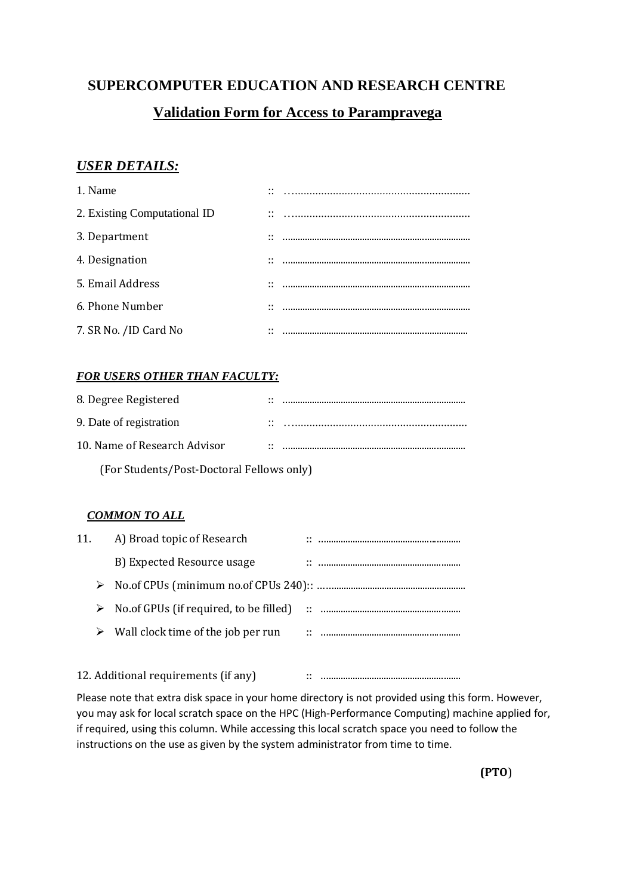# **SUPERCOMPUTER EDUCATION AND RESEARCH CENTRE**

# **Validation Form for Access to Parampravega**

## *USER DETAILS:*

| 1. Name                      | $\cdot \cdot$<br>$\cdot$ $\cdot$ |  |
|------------------------------|----------------------------------|--|
| 2. Existing Computational ID | $\cdot \cdot$<br>$\cdot$ $\cdot$ |  |
| 3. Department                | $\cdots$                         |  |
| 4. Designation               | $\cdots$                         |  |
| 5. Email Address             | $\cdots$                         |  |
| 6. Phone Number              | $\cdots$                         |  |
| 7. SR No. /ID Card No        | $\cdot$ .                        |  |

## *FOR USERS OTHER THAN FACULTY:*

| 8. Degree Registered                      |                 |  |  |  |
|-------------------------------------------|-----------------|--|--|--|
| 9. Date of registration                   | $\cdot$ $\cdot$ |  |  |  |
| 10. Name of Research Advisor              |                 |  |  |  |
| (For Students/Post-Doctoral Fellows only) |                 |  |  |  |

### *COMMON TO ALL*

| 11. | A) Broad topic of Research              |   |  |
|-----|-----------------------------------------|---|--|
|     | B) Expected Resource usage              |   |  |
| ➤   |                                         |   |  |
|     | No. of GPUs (if required, to be filled) |   |  |
| ➤   | Wall clock time of the job per run      | ÷ |  |
|     |                                         |   |  |

12. Additional requirements (if any) :: ….......................................................

Please note that extra disk space in your home directory is not provided using this form. However, you may ask for local scratch space on the HPC (High-Performance Computing) machine applied for, if required, using this column. While accessing this local scratch space you need to follow the instructions on the use as given by the system administrator from time to time.

**(PTO**)